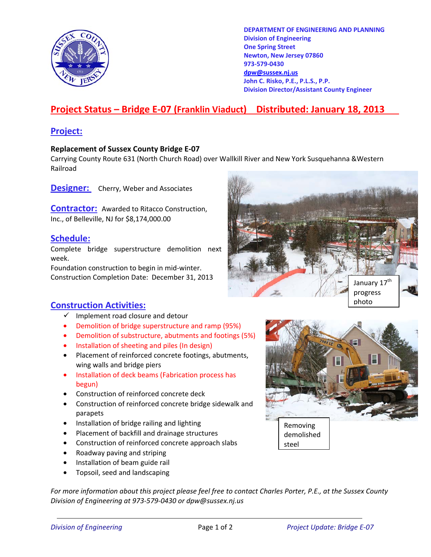

**DEPARTMENT OF ENGINEERING AND PLANNING Division of Engineering One Spring Street Newton, New Jersey 07860 973-579-0430 dpw@sussex.nj.us John C. Risko, P.E., P.L.S., P.P. Division Director/Assistant County Engineer** 

# **Project Status – Bridge E-07 (Franklin Viaduct) Distributed: January 18, 2013**

### **Project:**

#### **Replacement of Sussex County Bridge E-07**

Carrying County Route 631 (North Church Road) over Wallkill River and New York Susquehanna &Western Railroad

**Designer:** Cherry, Weber and Associates

**Contractor:** Awarded to Ritacco Construction, Inc., of Belleville, NJ for \$8,174,000.00

#### **Schedule:**

Complete bridge superstructure demolition next week.

Foundation construction to begin in mid-winter. Construction Completion Date: December 31, 2013



### **Construction Activities:**

- $\checkmark$  Implement road closure and detour
- Demolition of bridge superstructure and ramp (95%)
- Demolition of substructure, abutments and footings (5%)
- Installation of sheeting and piles (In design)
- Placement of reinforced concrete footings, abutments, wing walls and bridge piers
- Installation of deck beams (Fabrication process has begun)
- Construction of reinforced concrete deck
- Construction of reinforced concrete bridge sidewalk and parapets
- Installation of bridge railing and lighting
- Placement of backfill and drainage structures
- Construction of reinforced concrete approach slabs
- Roadway paving and striping
- Installation of beam guide rail
- Topsoil, seed and landscaping

*For more information about this project please feel free to contact Charles Porter, P.E., at the Sussex County Division of Engineering at 973-579-0430 or dpw@sussex.nj.us*